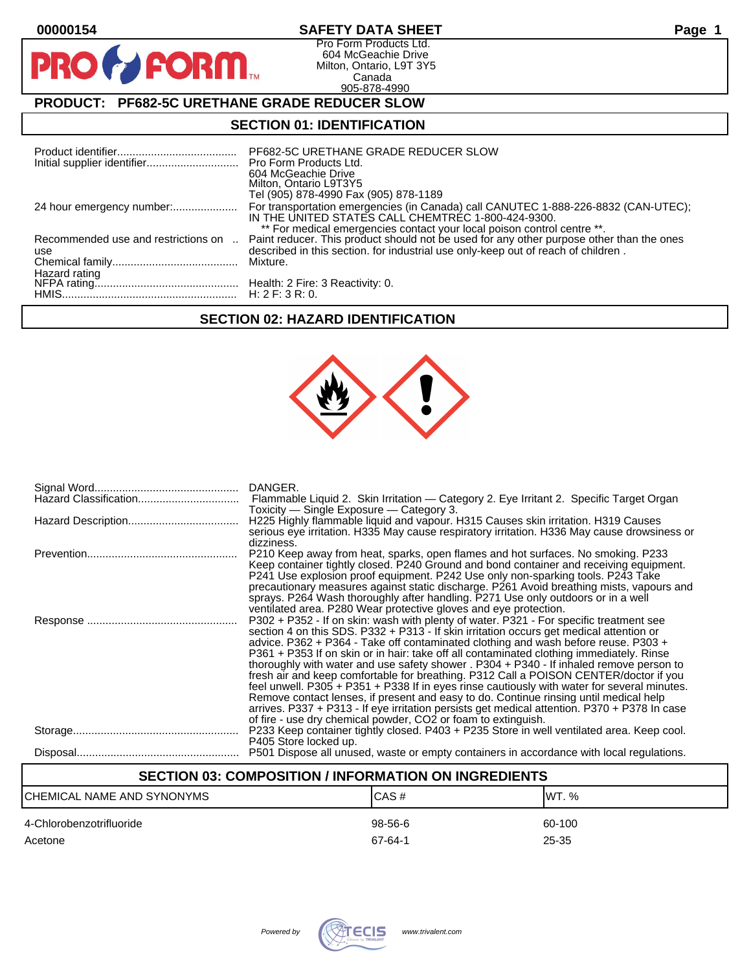| 00000154                                             | <b>SAFETY DATA SHEET</b>                                                                                                                                                                                                                                             | Page |
|------------------------------------------------------|----------------------------------------------------------------------------------------------------------------------------------------------------------------------------------------------------------------------------------------------------------------------|------|
| <b>PRO FORM</b>                                      | Pro Form Products Ltd.<br>604 McGeachie Drive<br>Milton, Ontario, L9T 3Y5<br>Canada<br>905-878-4990                                                                                                                                                                  |      |
| <b>PRODUCT: PF682-5C URETHANE GRADE REDUCER SLOW</b> |                                                                                                                                                                                                                                                                      |      |
| <b>SECTION 01: IDENTIFICATION</b>                    |                                                                                                                                                                                                                                                                      |      |
|                                                      | PF682-5C URETHANE GRADE REDUCER SLOW<br>Pro Form Products Ltd.<br>604 McGeachie Drive<br>Milton, Ontario L9T3Y5<br>Tel (905) 878-4990 Fax (905) 878-1189                                                                                                             |      |
|                                                      | For transportation emergencies (in Canada) call CANUTEC 1-888-226-8832 (CAN-UTEC);<br>IN THE UNITED STATES CALL CHEMTREC 1-800-424-9300.                                                                                                                             |      |
| Recommended use and restrictions on<br>$\sim$<br>use | ** For medical emergencies contact your local poison control centre **.<br>Paint reducer. This product should not be used for any other purpose other than the ones<br>described in this section, for industrial use only-keep out of reach of children.<br>Mixture. |      |

# **SECTION 02: HAZARD IDENTIFICATION**

NFPA rating............................................... Health: 2 Fire: 3 Reactivity: 0.

HMIS......................................................... H: 2 F: 3 R: 0.

Hazard rating



|                                                    | DANGER.                                                                                                                                                                                                                                                                                                                                                                                                                                                                                                                                                                                                                                                                                                                                                                                                                                                                                                          |  |
|----------------------------------------------------|------------------------------------------------------------------------------------------------------------------------------------------------------------------------------------------------------------------------------------------------------------------------------------------------------------------------------------------------------------------------------------------------------------------------------------------------------------------------------------------------------------------------------------------------------------------------------------------------------------------------------------------------------------------------------------------------------------------------------------------------------------------------------------------------------------------------------------------------------------------------------------------------------------------|--|
|                                                    | Toxicity – Single Exposure – Category 3.<br>H225 Highly flammable liquid and vapour. H315 Causes skin irritation. H319 Causes<br>serious eye irritation. H335 May cause respiratory irritation. H336 May cause drowsiness or                                                                                                                                                                                                                                                                                                                                                                                                                                                                                                                                                                                                                                                                                     |  |
|                                                    | dizziness.<br>P210 Keep away from heat, sparks, open flames and hot surfaces. No smoking. P233<br>Keep container tightly closed. P240 Ground and bond container and receiving equipment.<br>P241 Use explosion proof equipment. P242 Use only non-sparking tools. P243 Take<br>precautionary measures against static discharge. P261 Avoid breathing mists, vapours and<br>sprays. P264 Wash thoroughly after handling. P271 Use only outdoors or in a well<br>ventilated area. P280 Wear protective gloves and eye protection.                                                                                                                                                                                                                                                                                                                                                                                  |  |
|                                                    | P302 + P352 - If on skin: wash with plenty of water. P321 - For specific treatment see<br>section 4 on this SDS. P332 + P313 - If skin irritation occurs get medical attention or<br>advice. P362 + P364 - Take off contaminated clothing and wash before reuse. P303 +<br>P361 + P353 If on skin or in hair: take off all contaminated clothing immediately. Rinse<br>thoroughly with water and use safety shower . P304 + P340 - If inhaled remove person to<br>fresh air and keep comfortable for breathing. P312 Call a POISON CENTER/doctor if you<br>feel unwell. P305 + P351 + P338 If in eyes rinse cautiously with water for several minutes.<br>Remove contact lenses, if present and easy to do. Continue rinsing until medical help<br>arrives. P337 + P313 - If eye irritation persists get medical attention. P370 + P378 In case<br>of fire - use dry chemical powder, CO2 or foam to extinguish. |  |
|                                                    | P233 Keep container tightly closed. P403 + P235 Store in well ventilated area. Keep cool.<br>P405 Store locked up.<br>P501 Dispose all unused, waste or empty containers in accordance with local regulations.                                                                                                                                                                                                                                                                                                                                                                                                                                                                                                                                                                                                                                                                                                   |  |
| CECTION OS. COMBOCITION / INFORMATION ON INORFRIEN |                                                                                                                                                                                                                                                                                                                                                                                                                                                                                                                                                                                                                                                                                                                                                                                                                                                                                                                  |  |

| SECTION 03: COMPOSITION / INFORMATION ON INGREDIENTS |                      |                 |
|------------------------------------------------------|----------------------|-----------------|
| CHEMICAL NAME AND SYNONYMS                           | CAS#                 | IWT. $%$        |
| 4-Chlorobenzotrifluoride<br>Acetone                  | $98-56-6$<br>67-64-1 | 60-100<br>25-35 |

٦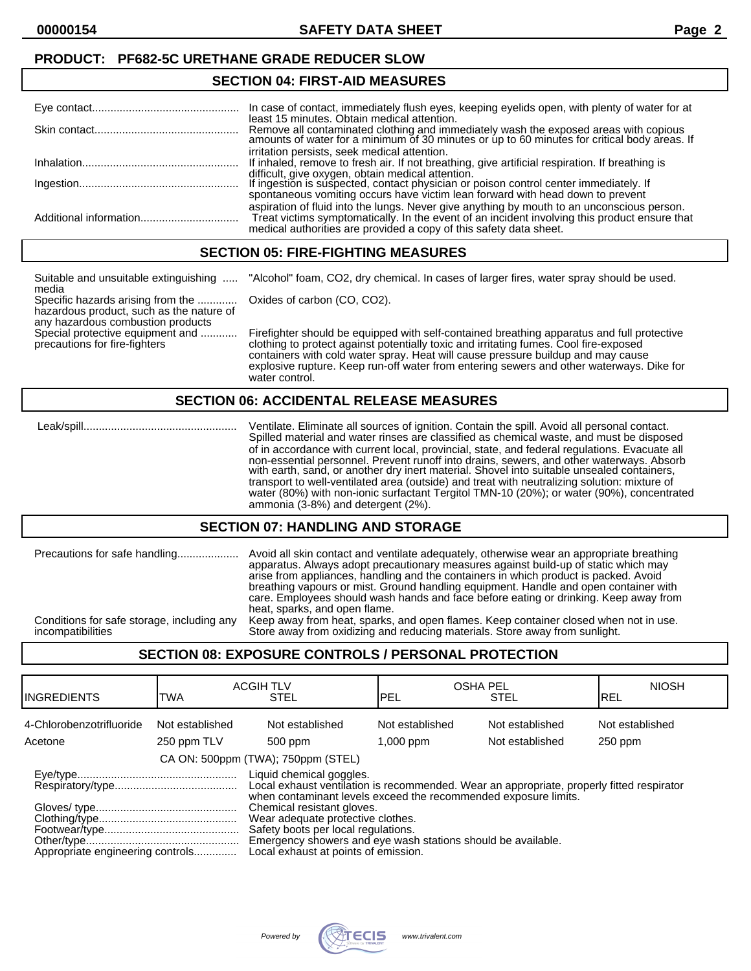#### **PRODUCT: PF682-5C URETHANE GRADE REDUCER SLOW**

#### **SECTION 04: FIRST-AID MEASURES**

| In case of contact, immediately flush eyes, keeping eyelids open, with plenty of water for at<br>least 15 minutes. Obtain medical attention.                                                                                                                      |
|-------------------------------------------------------------------------------------------------------------------------------------------------------------------------------------------------------------------------------------------------------------------|
| Remove all contaminated clothing and immediately wash the exposed areas with copious<br>amounts of water for a minimum of 30 minutes or up to 60 minutes for critical body areas. If                                                                              |
| irritation persists, seek medical attention.                                                                                                                                                                                                                      |
| If inhaled, remove to fresh air. If not breathing, give artificial respiration. If breathing is                                                                                                                                                                   |
| difficult, give oxygen, obtain medical attention.<br>If ingestion is suspected, contact physician or poison control center immediately. If<br>spontaneous vomiting occurs have victim lean forward with head down to prevent                                      |
| aspiration of fluid into the lungs. Never give anything by mouth to an unconscious person.<br>Treat victims symptomatically. In the event of an incident involving this product ensure that<br>medical authorities are provided a copy of this safety data sheet. |

#### **SECTION 05: FIRE-FIGHTING MEASURES**

Suitable and unsuitable extinguishing ..... "Alcohol" foam, CO2, dry chemical. In cases of larger fires, water spray should be used.

media Specific hazards arising from the ............. Oxides of carbon (CO, CO2). hazardous product, such as the nature of any hazardous combustion products<br>Special protective equipment and ...........

Firefighter should be equipped with self-contained breathing apparatus and full protective precautions for fire-fighters clothing to protect against potentially toxic and irritating fumes. Cool fire-exposed containers with cold water spray. Heat will cause pressure buildup and may cause explosive rupture. Keep run-off water from entering sewers and other waterways. Dike for water control.

### **SECTION 06: ACCIDENTAL RELEASE MEASURES**

 Leak/spill.................................................. Ventilate. Eliminate all sources of ignition. Contain the spill. Avoid all personal contact. Spilled material and water rinses are classified as chemical waste, and must be disposed of in accordance with current local, provincial, state, and federal regulations. Evacuate all non-essential personnel. Prevent runoff into drains, sewers, and other waterways. Absorb with earth, sand, or another dry inert material. Shovel into suitable unsealed containers, transport to well-ventilated area (outside) and treat with neutralizing solution: mixture of water (80%) with non-ionic surfactant Tergitol TMN-10 (20%); or water (90%), concentrated ammonia (3-8%) and detergent (2%).

#### **SECTION 07: HANDLING AND STORAGE**

| Precautions for safe handling              | Avoid all skin contact and ventilate adequately, otherwise wear an appropriate breathing<br>apparatus. Always adopt precautionary measures against build-up of static which may<br>arise from appliances, handling and the containers in which product is packed. Avoid<br>breathing vapours or mist. Ground handling equipment. Handle and open container with<br>care. Employees should wash hands and face before eating or drinking. Keep away from<br>heat, sparks, and open flame. |
|--------------------------------------------|------------------------------------------------------------------------------------------------------------------------------------------------------------------------------------------------------------------------------------------------------------------------------------------------------------------------------------------------------------------------------------------------------------------------------------------------------------------------------------------|
| Conditions for safe storage, including any | Keep away from heat, sparks, and open flames. Keep container closed when not in use.                                                                                                                                                                                                                                                                                                                                                                                                     |
| incompatibilities                          | Store away from oxidizing and reducing materials. Store away from sunlight.                                                                                                                                                                                                                                                                                                                                                                                                              |

## **SECTION 08: EXPOSURE CONTROLS / PERSONAL PROTECTION**

| IINGREDIENTS                        | TWA                            | <b>ACGIH TLV</b><br><b>STEL</b>                                                                                                                                                                                                                                                                                                                                                                            | <b>OSHA PEL</b><br>IPEL        | <b>STEL</b>                        | <b>NIOSH</b><br>IREL       |
|-------------------------------------|--------------------------------|------------------------------------------------------------------------------------------------------------------------------------------------------------------------------------------------------------------------------------------------------------------------------------------------------------------------------------------------------------------------------------------------------------|--------------------------------|------------------------------------|----------------------------|
| 4-Chlorobenzotrifluoride<br>Acetone | Not established<br>250 ppm TLV | Not established<br>500 ppm                                                                                                                                                                                                                                                                                                                                                                                 | Not established<br>$1,000$ ppm | Not established<br>Not established | Not established<br>250 ppm |
|                                     |                                | CA ON: 500ppm (TWA); 750ppm (STEL)                                                                                                                                                                                                                                                                                                                                                                         |                                |                                    |                            |
|                                     |                                | Liquid chemical goggles.<br>Local exhaust ventilation is recommended. Wear an appropriate, properly fitted respirator<br>when contaminant levels exceed the recommended exposure limits.<br>Chemical resistant gloves.<br>Wear adequate protective clothes.<br>Safety boots per local regulations.<br>Emergency showers and eye wash stations should be available.<br>Local exhaust at points of emission. |                                |                                    |                            |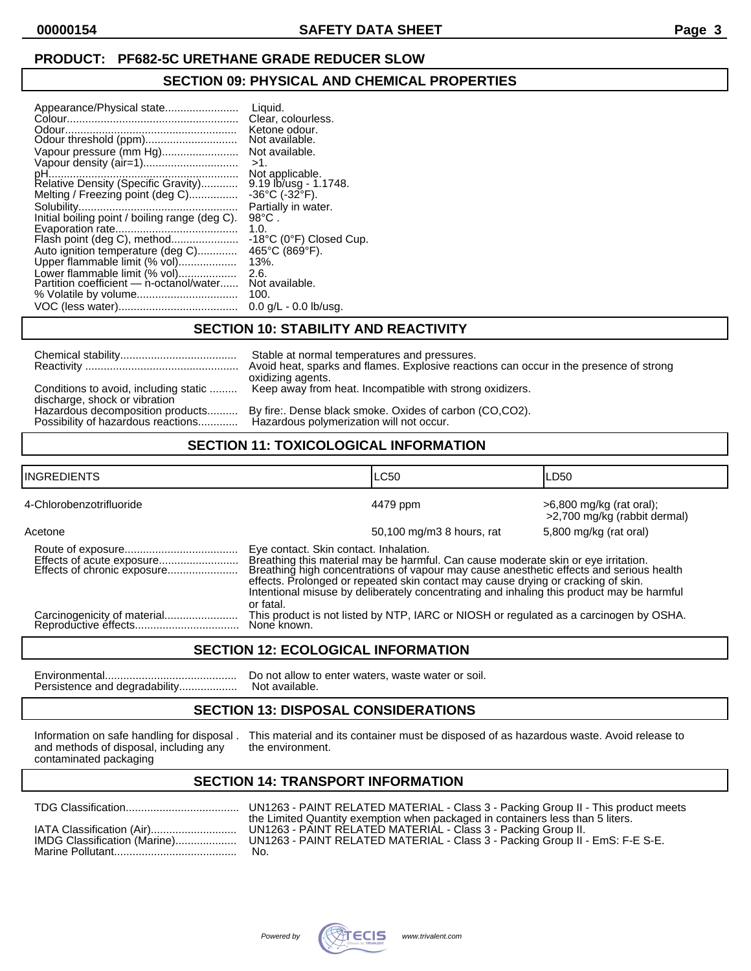## **PRODUCT: PF682-5C URETHANE GRADE REDUCER SLOW**

### **SECTION 09: PHYSICAL AND CHEMICAL PROPERTIES**

| Appearance/Physical state<br>Vapour pressure (mm Hg)<br>Relative Density (Specific Gravity)<br>Melting / Freezing point (deg C)<br>Initial boiling point / boiling range (deg C).<br>Flash point (deg C), method<br>Auto ignition temperature (deg C)<br>Upper flammable limit (% vol) | Liquid.<br>Clear, colourless.<br>Ketone odour.<br>Not available.<br>Not available.<br>$>1$ .<br>Not applicable.<br>$9.19$ lb/usg - 1.1748.<br>$-36^{\circ}$ C ( $-32^{\circ}$ F).<br>Partially in water.<br>$98^{\circ}$ C.<br>1.0.<br>-18°C (0°F) Closed Cup.<br>465°C (869°F).<br>$13%$ . |
|----------------------------------------------------------------------------------------------------------------------------------------------------------------------------------------------------------------------------------------------------------------------------------------|---------------------------------------------------------------------------------------------------------------------------------------------------------------------------------------------------------------------------------------------------------------------------------------------|
|                                                                                                                                                                                                                                                                                        |                                                                                                                                                                                                                                                                                             |
| Lower flammable limit (% vol)                                                                                                                                                                                                                                                          | 2.6.                                                                                                                                                                                                                                                                                        |
| Partition coefficient - n-octanol/water                                                                                                                                                                                                                                                | Not available.<br>100.                                                                                                                                                                                                                                                                      |
|                                                                                                                                                                                                                                                                                        | $0.0$ g/L - 0.0 lb/usg.                                                                                                                                                                                                                                                                     |

### **SECTION 10: STABILITY AND REACTIVITY**

|                                                                        | Stable at normal temperatures and pressures.<br>Avoid heat, sparks and flames. Explosive reactions can occur in the presence of strong<br>oxidizing agents. |
|------------------------------------------------------------------------|-------------------------------------------------------------------------------------------------------------------------------------------------------------|
| Conditions to avoid, including static<br>discharge, shock or vibration | Keep away from heat. Incompatible with strong oxidizers.                                                                                                    |
| Hazardous decomposition products<br>Possibility of hazardous reactions | By fire:. Dense black smoke. Oxides of carbon (CO,CO2).<br>Hazardous polymerization will not occur.                                                         |

# **SECTION 11: TOXICOLOGICAL INFORMATION**

| <b>INGREDIENTS</b>       |                                                     | <b>LC50</b>                                                                                                                                                                                                                                                                                                                                                     | LD50                                                     |
|--------------------------|-----------------------------------------------------|-----------------------------------------------------------------------------------------------------------------------------------------------------------------------------------------------------------------------------------------------------------------------------------------------------------------------------------------------------------------|----------------------------------------------------------|
| 4-Chlorobenzotrifluoride |                                                     | 4479 ppm                                                                                                                                                                                                                                                                                                                                                        | >6,800 mg/kg (rat oral);<br>>2,700 mg/kg (rabbit dermal) |
| Acetone                  |                                                     | 50,100 mg/m3 8 hours, rat                                                                                                                                                                                                                                                                                                                                       | 5,800 mg/kg (rat oral)                                   |
|                          | Eye contact. Skin contact. Inhalation.<br>or fatal. | Breathing this material may be harmful. Can cause moderate skin or eye irritation.<br>Breathing high concentrations of vapour may cause anesthetic effects and serious health<br>effects. Prolonged or repeated skin contact may cause drying or cracking of skin.<br>Intentional misuse by deliberately concentrating and inhaling this product may be harmful |                                                          |
|                          | None known.                                         | This product is not listed by NTP, IARC or NIOSH or regulated as a carcinogen by OSHA.                                                                                                                                                                                                                                                                          |                                                          |

## **SECTION 12: ECOLOGICAL INFORMATION**

Environmental........................................... Do not allow to enter waters, waste water or soil. Persistence and degradability...................

### **SECTION 13: DISPOSAL CONSIDERATIONS**

and methods of disposal, including any contaminated packaging

Information on safe handling for disposal . This material and its container must be disposed of as hazardous waste. Avoid release to and methods of disposal, including any the environment.

# **SECTION 14: TRANSPORT INFORMATION**

| IATA Classification (Air)<br>IMDG Classification (Marine) | the Limited Quantity exemption when packaged in containers less than 5 liters.<br>UN1263 - PAINT RELATED MATERIAL - Class 3 - Packing Group II.<br>UN1263 - PAINT RELATED MATERIAL - Class 3 - Packing Group II - EmS: F-E S-E. |
|-----------------------------------------------------------|---------------------------------------------------------------------------------------------------------------------------------------------------------------------------------------------------------------------------------|
|                                                           | No.                                                                                                                                                                                                                             |